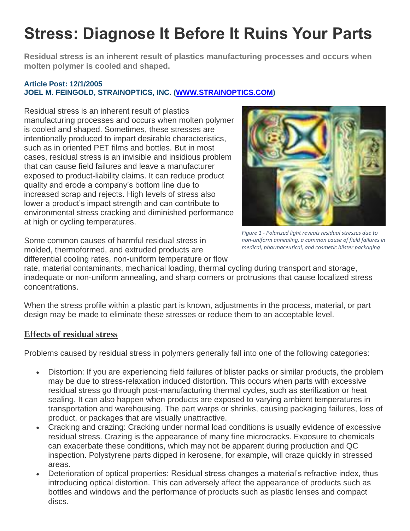## **Stress: Diagnose It Before It Ruins Your Parts**

**Residual stress is an inherent result of plastics manufacturing processes and occurs when molten polymer is cooled and shaped.**

## **Article Post: 12/1/2005 JOEL M. FEINGOLD, STRAINOPTICS, INC. [\(WWW.STRAINOPTICS.COM\)](http://www.strainoptics.com/)**

Residual stress is an inherent result of plastics manufacturing processes and occurs when molten polymer is cooled and shaped. Sometimes, these stresses are intentionally produced to impart desirable characteristics, such as in oriented PET films and bottles. But in most cases, residual stress is an invisible and insidious problem that can cause field failures and leave a manufacturer exposed to product-liability claims. It can reduce product quality and erode a company's bottom line due to increased scrap and rejects. High levels of stress also lower a product's impact strength and can contribute to environmental stress cracking and diminished performance at high or cycling temperatures.



Some common causes of harmful residual stress in molded, thermoformed, and extruded products are differential cooling rates, non-uniform temperature or flow

*Figure 1 - Polarized light reveals residual stresses due to non-uniform annealing, a common cause of field failures in medical, pharmaceutical, and cosmetic blister packaging*

rate, material contaminants, mechanical loading, thermal cycling during transport and storage, inadequate or non-uniform annealing, and sharp corners or protrusions that cause localized stress concentrations.

When the stress profile within a plastic part is known, adjustments in the process, material, or part design may be made to eliminate these stresses or reduce them to an acceptable level.

## **Effects of residual stress**

Problems caused by residual stress in polymers generally fall into one of the following categories:

- Distortion: If you are experiencing field failures of blister packs or similar products, the problem may be due to stress-relaxation induced distortion. This occurs when parts with excessive residual stress go through post-manufacturing thermal cycles, such as sterilization or heat sealing. It can also happen when products are exposed to varying ambient temperatures in transportation and warehousing. The part warps or shrinks, causing packaging failures, loss of product, or packages that are visually unattractive.
- Cracking and crazing: Cracking under normal load conditions is usually evidence of excessive residual stress. Crazing is the appearance of many fine microcracks. Exposure to chemicals can exacerbate these conditions, which may not be apparent during production and QC inspection. Polystyrene parts dipped in kerosene, for example, will craze quickly in stressed areas.
- Deterioration of optical properties: Residual stress changes a material's refractive index, thus introducing optical distortion. This can adversely affect the appearance of products such as bottles and windows and the performance of products such as plastic lenses and compact discs.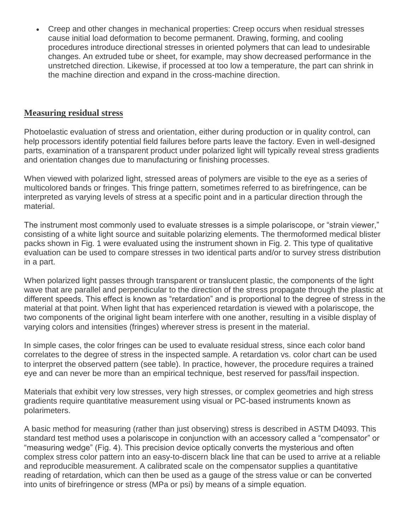Creep and other changes in mechanical properties: Creep occurs when residual stresses cause initial load deformation to become permanent. Drawing, forming, and cooling procedures introduce directional stresses in oriented polymers that can lead to undesirable changes. An extruded tube or sheet, for example, may show decreased performance in the unstretched direction. Likewise, if processed at too low a temperature, the part can shrink in the machine direction and expand in the cross-machine direction.

## **Measuring residual stress**

Photoelastic evaluation of stress and orientation, either during production or in quality control, can help processors identify potential field failures before parts leave the factory. Even in well-designed parts, examination of a transparent product under polarized light will typically reveal stress gradients and orientation changes due to manufacturing or finishing processes.

When viewed with polarized light, stressed areas of polymers are visible to the eye as a series of multicolored bands or fringes. This fringe pattern, sometimes referred to as birefringence, can be interpreted as varying levels of stress at a specific point and in a particular direction through the material.

The instrument most commonly used to evaluate stresses is a simple polariscope, or "strain viewer," consisting of a white light source and suitable polarizing elements. The thermoformed medical blister packs shown in Fig. 1 were evaluated using the instrument shown in Fig. 2. This type of qualitative evaluation can be used to compare stresses in two identical parts and/or to survey stress distribution in a part.

When polarized light passes through transparent or translucent plastic, the components of the light wave that are parallel and perpendicular to the direction of the stress propagate through the plastic at different speeds. This effect is known as "retardation" and is proportional to the degree of stress in the material at that point. When light that has experienced retardation is viewed with a polariscope, the two components of the original light beam interfere with one another, resulting in a visible display of varying colors and intensities (fringes) wherever stress is present in the material.

In simple cases, the color fringes can be used to evaluate residual stress, since each color band correlates to the degree of stress in the inspected sample. A retardation vs. color chart can be used to interpret the observed pattern (see table). In practice, however, the procedure requires a trained eye and can never be more than an empirical technique, best reserved for pass/fail inspection.

Materials that exhibit very low stresses, very high stresses, or complex geometries and high stress gradients require quantitative measurement using visual or PC-based instruments known as polarimeters.

A basic method for measuring (rather than just observing) stress is described in ASTM D4093. This standard test method uses a polariscope in conjunction with an accessory called a "compensator" or "measuring wedge" (Fig. 4). This precision device optically converts the mysterious and often complex stress color pattern into an easy-to-discern black line that can be used to arrive at a reliable and reproducible measurement. A calibrated scale on the compensator supplies a quantitative reading of retardation, which can then be used as a gauge of the stress value or can be converted into units of birefringence or stress (MPa or psi) by means of a simple equation.